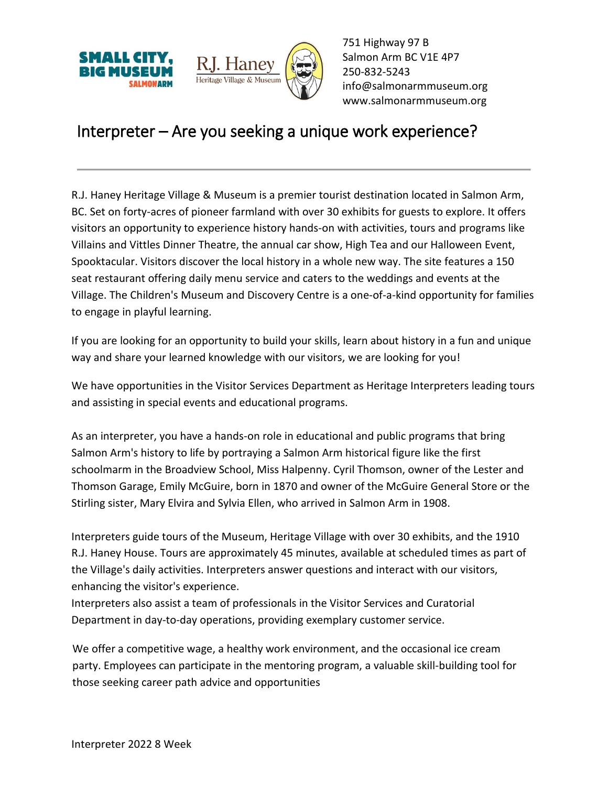



751 Highway 97 B Salmon Arm BC V1E 4P7 250-832-5243 [info@salmonarmmuseum.org](mailto:info@salmonarmmuseum.org) www.salmonarmmuseum.org

## Interpreter – Are you seeking a unique work experience?

R.J. Haney Heritage Village & Museum is a premier tourist destination located in Salmon Arm, BC. Set on forty-acres of pioneer farmland with over 30 exhibits for guests to explore. It offers visitors an opportunity to experience history hands-on with activities, tours and programs like Villains and Vittles Dinner Theatre, the annual car show, High Tea and our Halloween Event, Spooktacular. Visitors discover the local history in a whole new way. The site features a 150 seat restaurant offering daily menu service and caters to the weddings and events at the Village. The Children's Museum and Discovery Centre is a one-of-a-kind opportunity for families to engage in playful learning.

If you are looking for an opportunity to build your skills, learn about history in a fun and unique way and share your learned knowledge with our visitors, we are looking for you!

We have opportunities in the Visitor Services Department as Heritage Interpreters leading tours and assisting in special events and educational programs.

As an interpreter, you have a hands-on role in educational and public programs that bring Salmon Arm's history to life by portraying a Salmon Arm historical figure like the first schoolmarm in the Broadview School, Miss Halpenny. Cyril Thomson, owner of the Lester and Thomson Garage, Emily McGuire, born in 1870 and owner of the McGuire General Store or the Stirling sister, Mary Elvira and Sylvia Ellen, who arrived in Salmon Arm in 1908.

Interpreters guide tours of the Museum, Heritage Village with over 30 exhibits, and the 1910 R.J. Haney House. Tours are approximately 45 minutes, available at scheduled times as part of the Village's daily activities. Interpreters answer questions and interact with our visitors, enhancing the visitor's experience.

Interpreters also assist a team of professionals in the Visitor Services and Curatorial Department in day-to-day operations, providing exemplary customer service.

We offer a competitive wage, a healthy work environment, and the occasional ice cream party. Employees can participate in the mentoring program, a valuable skill-building tool for those seeking career path advice and opportunities